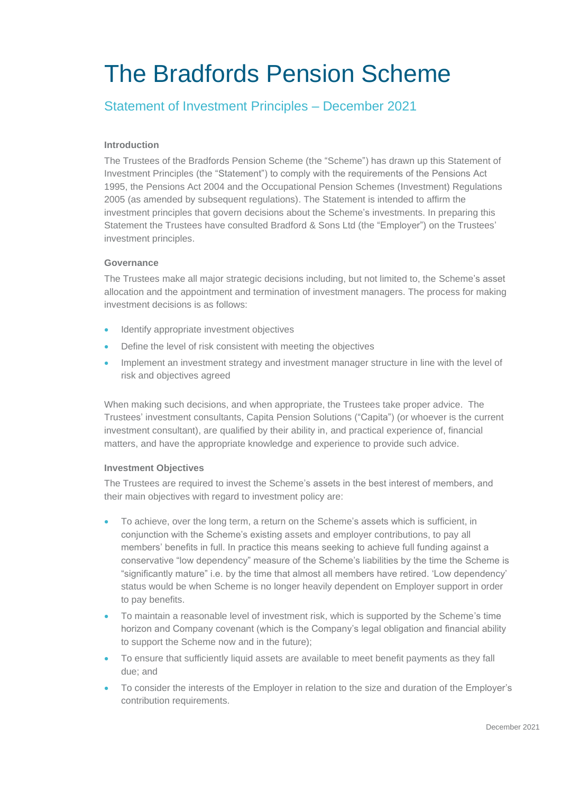# The Bradfords Pension Scheme

# Statement of Investment Principles – December 2021

## **Introduction**

The Trustees of the Bradfords Pension Scheme (the "Scheme") has drawn up this Statement of Investment Principles (the "Statement") to comply with the requirements of the Pensions Act 1995, the Pensions Act 2004 and the Occupational Pension Schemes (Investment) Regulations 2005 (as amended by subsequent regulations). The Statement is intended to affirm the investment principles that govern decisions about the Scheme's investments. In preparing this Statement the Trustees have consulted Bradford & Sons Ltd (the "Employer") on the Trustees' investment principles.

## **Governance**

The Trustees make all major strategic decisions including, but not limited to, the Scheme's asset allocation and the appointment and termination of investment managers. The process for making investment decisions is as follows:

- Identify appropriate investment objectives
- Define the level of risk consistent with meeting the objectives
- Implement an investment strategy and investment manager structure in line with the level of risk and objectives agreed

When making such decisions, and when appropriate, the Trustees take proper advice. The Trustees' investment consultants, Capita Pension Solutions ("Capita") (or whoever is the current investment consultant), are qualified by their ability in, and practical experience of, financial matters, and have the appropriate knowledge and experience to provide such advice.

## **Investment Objectives**

The Trustees are required to invest the Scheme's assets in the best interest of members, and their main objectives with regard to investment policy are:

- To achieve, over the long term, a return on the Scheme's assets which is sufficient, in conjunction with the Scheme's existing assets and employer contributions, to pay all members' benefits in full. In practice this means seeking to achieve full funding against a conservative "low dependency" measure of the Scheme's liabilities by the time the Scheme is "significantly mature" i.e. by the time that almost all members have retired. 'Low dependency' status would be when Scheme is no longer heavily dependent on Employer support in order to pay benefits.
- To maintain a reasonable level of investment risk, which is supported by the Scheme's time horizon and Company covenant (which is the Company's legal obligation and financial ability to support the Scheme now and in the future);
- To ensure that sufficiently liquid assets are available to meet benefit payments as they fall due; and
- To consider the interests of the Employer in relation to the size and duration of the Employer's contribution requirements.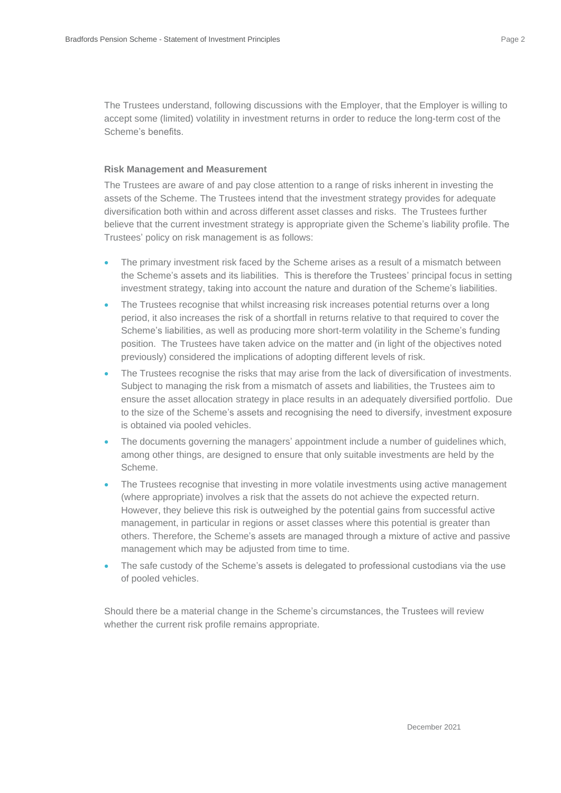The Trustees understand, following discussions with the Employer, that the Employer is willing to accept some (limited) volatility in investment returns in order to reduce the long-term cost of the Scheme's benefits.

#### **Risk Management and Measurement**

The Trustees are aware of and pay close attention to a range of risks inherent in investing the assets of the Scheme. The Trustees intend that the investment strategy provides for adequate diversification both within and across different asset classes and risks. The Trustees further believe that the current investment strategy is appropriate given the Scheme's liability profile. The Trustees' policy on risk management is as follows:

- The primary investment risk faced by the Scheme arises as a result of a mismatch between the Scheme's assets and its liabilities. This is therefore the Trustees' principal focus in setting investment strategy, taking into account the nature and duration of the Scheme's liabilities.
- The Trustees recognise that whilst increasing risk increases potential returns over a long period, it also increases the risk of a shortfall in returns relative to that required to cover the Scheme's liabilities, as well as producing more short-term volatility in the Scheme's funding position. The Trustees have taken advice on the matter and (in light of the objectives noted previously) considered the implications of adopting different levels of risk.
- The Trustees recognise the risks that may arise from the lack of diversification of investments. Subject to managing the risk from a mismatch of assets and liabilities, the Trustees aim to ensure the asset allocation strategy in place results in an adequately diversified portfolio. Due to the size of the Scheme's assets and recognising the need to diversify, investment exposure is obtained via pooled vehicles.
- The documents governing the managers' appointment include a number of guidelines which, among other things, are designed to ensure that only suitable investments are held by the Scheme.
- The Trustees recognise that investing in more volatile investments using active management (where appropriate) involves a risk that the assets do not achieve the expected return. However, they believe this risk is outweighed by the potential gains from successful active management, in particular in regions or asset classes where this potential is greater than others. Therefore, the Scheme's assets are managed through a mixture of active and passive management which may be adjusted from time to time.
- The safe custody of the Scheme's assets is delegated to professional custodians via the use of pooled vehicles.

Should there be a material change in the Scheme's circumstances, the Trustees will review whether the current risk profile remains appropriate.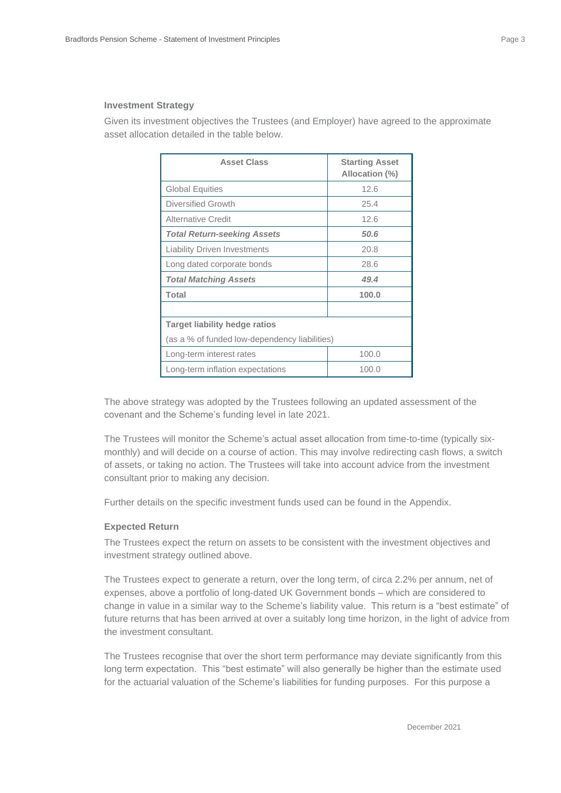#### **Investment Strategy**

Given its investment objectives the Trustees (and Employer) have agreed to the approximate asset allocation detailed in the table below.

| <b>Asset Class</b>                            | <b>Starting Asset</b><br>Allocation (%) |  |  |  |
|-----------------------------------------------|-----------------------------------------|--|--|--|
| <b>Global Equities</b>                        | 12.6                                    |  |  |  |
| Diversified Growth                            | 25.4                                    |  |  |  |
| Alternative Credit                            | 12.6                                    |  |  |  |
| <b>Total Return-seeking Assets</b>            | 50.6                                    |  |  |  |
| <b>Liability Driven Investments</b>           | 20.8                                    |  |  |  |
| Long dated corporate bonds                    | 28.6                                    |  |  |  |
| <b>Total Matching Assets</b>                  | 49.4                                    |  |  |  |
| <b>Total</b><br>100.0                         |                                         |  |  |  |
|                                               |                                         |  |  |  |
| <b>Target liability hedge ratios</b>          |                                         |  |  |  |
| (as a % of funded low-dependency liabilities) |                                         |  |  |  |
| Long-term interest rates                      | 100.0                                   |  |  |  |
| Long-term inflation expectations              | 100.0                                   |  |  |  |

The above strategy was adopted by the Trustees following an updated assessment of the covenant and the Scheme's funding level in late 2021.

The Trustees will monitor the Scheme's actual asset allocation from time-to-time (typically sixmonthly) and will decide on a course of action. This may involve redirecting cash flows, a switch of assets, or taking no action. The Trustees will take into account advice from the investment consultant prior to making any decision.

Further details on the specific investment funds used can be found in the Appendix.

#### **Expected Return**

The Trustees expect the return on assets to be consistent with the investment objectives and investment strategy outlined above.

The Trustees expect to generate a return, over the long term, of circa 2.2% per annum, net of expenses, above a portfolio of long-dated UK Government bonds – which are considered to change in value in a similar way to the Scheme's liability value. This return is a "best estimate" of future returns that has been arrived at over a suitably long time horizon, in the light of advice from the investment consultant.

The Trustees recognise that over the short term performance may deviate significantly from this long term expectation. This "best estimate" will also generally be higher than the estimate used for the actuarial valuation of the Scheme's liabilities for funding purposes. For this purpose a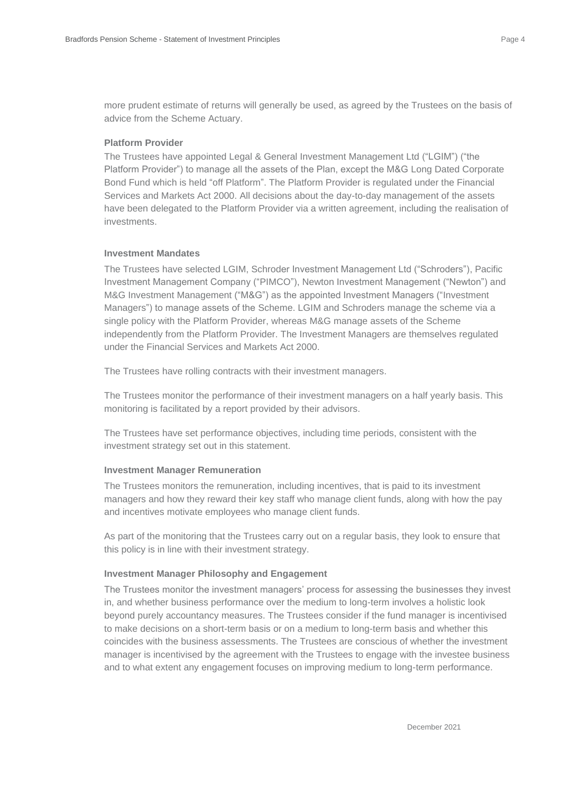more prudent estimate of returns will generally be used, as agreed by the Trustees on the basis of advice from the Scheme Actuary.

#### **Platform Provider**

The Trustees have appointed Legal & General Investment Management Ltd ("LGIM") ("the Platform Provider") to manage all the assets of the Plan, except the M&G Long Dated Corporate Bond Fund which is held "off Platform". The Platform Provider is regulated under the Financial Services and Markets Act 2000. All decisions about the day-to-day management of the assets have been delegated to the Platform Provider via a written agreement, including the realisation of investments.

#### **Investment Mandates**

The Trustees have selected LGIM, Schroder Investment Management Ltd ("Schroders"), Pacific Investment Management Company ("PIMCO"), Newton Investment Management ("Newton") and M&G Investment Management ("M&G") as the appointed Investment Managers ("Investment Managers") to manage assets of the Scheme. LGIM and Schroders manage the scheme via a single policy with the Platform Provider, whereas M&G manage assets of the Scheme independently from the Platform Provider. The Investment Managers are themselves regulated under the Financial Services and Markets Act 2000.

The Trustees have rolling contracts with their investment managers.

The Trustees monitor the performance of their investment managers on a half yearly basis. This monitoring is facilitated by a report provided by their advisors.

The Trustees have set performance objectives, including time periods, consistent with the investment strategy set out in this statement.

#### **Investment Manager Remuneration**

The Trustees monitors the remuneration, including incentives, that is paid to its investment managers and how they reward their key staff who manage client funds, along with how the pay and incentives motivate employees who manage client funds.

As part of the monitoring that the Trustees carry out on a regular basis, they look to ensure that this policy is in line with their investment strategy.

#### **Investment Manager Philosophy and Engagement**

The Trustees monitor the investment managers' process for assessing the businesses they invest in, and whether business performance over the medium to long-term involves a holistic look beyond purely accountancy measures. The Trustees consider if the fund manager is incentivised to make decisions on a short-term basis or on a medium to long-term basis and whether this coincides with the business assessments. The Trustees are conscious of whether the investment manager is incentivised by the agreement with the Trustees to engage with the investee business and to what extent any engagement focuses on improving medium to long-term performance.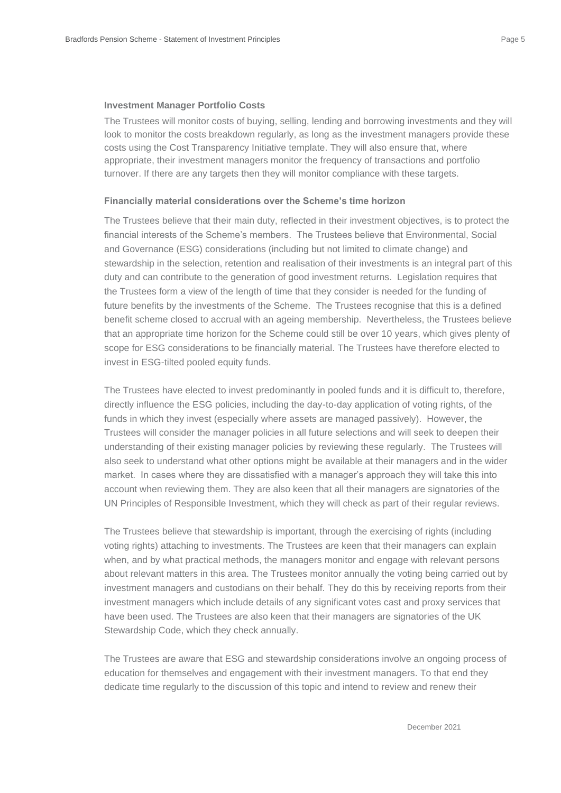#### **Investment Manager Portfolio Costs**

The Trustees will monitor costs of buying, selling, lending and borrowing investments and they will look to monitor the costs breakdown regularly, as long as the investment managers provide these costs using the Cost Transparency Initiative template. They will also ensure that, where appropriate, their investment managers monitor the frequency of transactions and portfolio turnover. If there are any targets then they will monitor compliance with these targets.

#### **Financially material considerations over the Scheme's time horizon**

The Trustees believe that their main duty, reflected in their investment objectives, is to protect the financial interests of the Scheme's members. The Trustees believe that Environmental, Social and Governance (ESG) considerations (including but not limited to climate change) and stewardship in the selection, retention and realisation of their investments is an integral part of this duty and can contribute to the generation of good investment returns. Legislation requires that the Trustees form a view of the length of time that they consider is needed for the funding of future benefits by the investments of the Scheme. The Trustees recognise that this is a defined benefit scheme closed to accrual with an ageing membership. Nevertheless, the Trustees believe that an appropriate time horizon for the Scheme could still be over 10 years, which gives plenty of scope for ESG considerations to be financially material. The Trustees have therefore elected to invest in ESG-tilted pooled equity funds.

The Trustees have elected to invest predominantly in pooled funds and it is difficult to, therefore, directly influence the ESG policies, including the day-to-day application of voting rights, of the funds in which they invest (especially where assets are managed passively). However, the Trustees will consider the manager policies in all future selections and will seek to deepen their understanding of their existing manager policies by reviewing these regularly. The Trustees will also seek to understand what other options might be available at their managers and in the wider market. In cases where they are dissatisfied with a manager's approach they will take this into account when reviewing them. They are also keen that all their managers are signatories of the UN Principles of Responsible Investment, which they will check as part of their regular reviews.

The Trustees believe that stewardship is important, through the exercising of rights (including voting rights) attaching to investments. The Trustees are keen that their managers can explain when, and by what practical methods, the managers monitor and engage with relevant persons about relevant matters in this area. The Trustees monitor annually the voting being carried out by investment managers and custodians on their behalf. They do this by receiving reports from their investment managers which include details of any significant votes cast and proxy services that have been used. The Trustees are also keen that their managers are signatories of the UK Stewardship Code, which they check annually.

The Trustees are aware that ESG and stewardship considerations involve an ongoing process of education for themselves and engagement with their investment managers. To that end they dedicate time regularly to the discussion of this topic and intend to review and renew their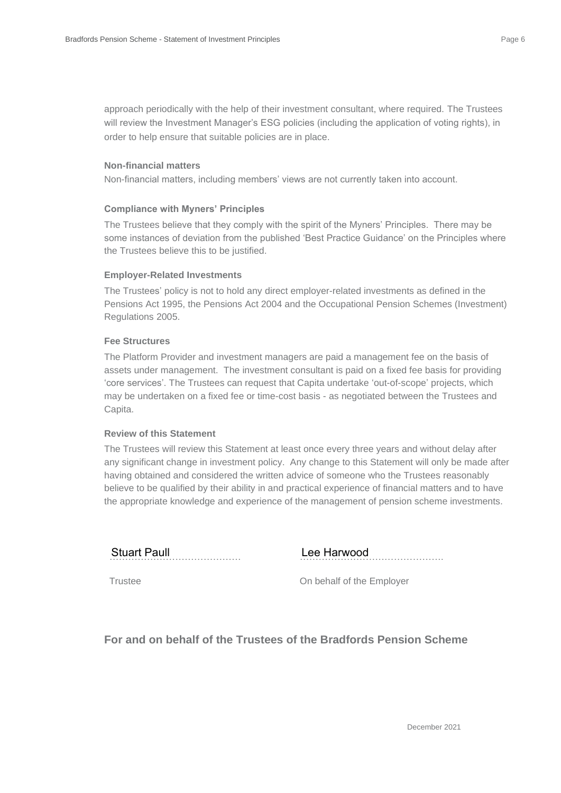approach periodically with the help of their investment consultant, where required. The Trustees will review the Investment Manager's ESG policies (including the application of voting rights), in order to help ensure that suitable policies are in place.

#### **Non-financial matters**

Non-financial matters, including members' views are not currently taken into account.

#### **Compliance with Myners' Principles**

The Trustees believe that they comply with the spirit of the Myners' Principles. There may be some instances of deviation from the published 'Best Practice Guidance' on the Principles where the Trustees believe this to be justified.

#### **Employer-Related Investments**

The Trustees' policy is not to hold any direct employer-related investments as defined in the Pensions Act 1995, the Pensions Act 2004 and the Occupational Pension Schemes (Investment) Regulations 2005.

#### **Fee Structures**

The Platform Provider and investment managers are paid a management fee on the basis of assets under management. The investment consultant is paid on a fixed fee basis for providing 'core services'. The Trustees can request that Capita undertake 'out-of-scope' projects, which may be undertaken on a fixed fee or time-cost basis - as negotiated between the Trustees and Capita.

#### **Review of this Statement**

The Trustees will review this Statement at least once every three years and without delay after any significant change in investment policy. Any change to this Statement will only be made after having obtained and considered the written advice of someone who the Trustees reasonably believe to be qualified by their ability in and practical experience of financial matters and to have the appropriate knowledge and experience of the management of pension scheme investments.

Stuart Paull

………………………………………. Stuart Paull Lee Harwood

Trustee

On behalf of the Employer

**For and on behalf of the Trustees of the Bradfords Pension Scheme**